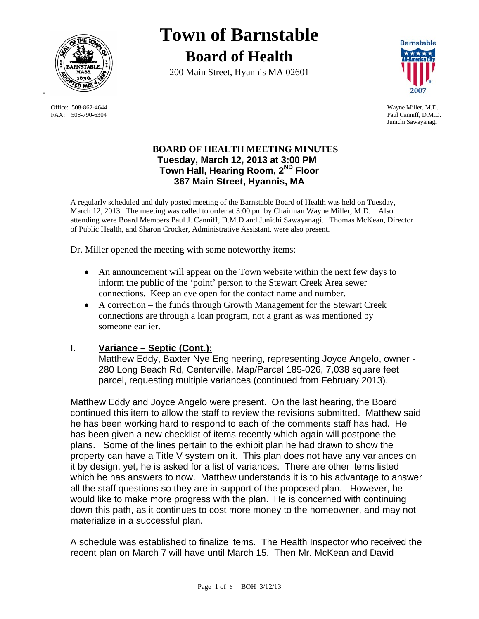

Office: 508-862-4644<br>
FAX: 508-790-6304<br>
Paul Canniff. D.M.D.

# **Town of Barnstable Board of Health**

200 Main Street, Hyannis MA 02601



Paul Canniff, D.M.D. Junichi Sawayanagi

## **BOARD OF HEALTH MEETING MINUTES Tuesday, March 12, 2013 at 3:00 PM Town Hall, Hearing Room, 2ND Floor 367 Main Street, Hyannis, MA**

A regularly scheduled and duly posted meeting of the Barnstable Board of Health was held on Tuesday, March 12, 2013. The meeting was called to order at 3:00 pm by Chairman Wayne Miller, M.D. Also attending were Board Members Paul J. Canniff, D.M.D and Junichi Sawayanagi. Thomas McKean, Director of Public Health, and Sharon Crocker, Administrative Assistant, were also present.

Dr. Miller opened the meeting with some noteworthy items:

- An announcement will appear on the Town website within the next few days to inform the public of the 'point' person to the Stewart Creek Area sewer connections. Keep an eye open for the contact name and number.
- A correction the funds through Growth Management for the Stewart Creek connections are through a loan program, not a grant as was mentioned by someone earlier.

# **I. Variance – Septic (Cont.):**

Matthew Eddy, Baxter Nye Engineering, representing Joyce Angelo, owner - 280 Long Beach Rd, Centerville, Map/Parcel 185-026, 7,038 square feet parcel, requesting multiple variances (continued from February 2013).

Matthew Eddy and Joyce Angelo were present. On the last hearing, the Board continued this item to allow the staff to review the revisions submitted. Matthew said he has been working hard to respond to each of the comments staff has had. He has been given a new checklist of items recently which again will postpone the plans. Some of the lines pertain to the exhibit plan he had drawn to show the property can have a Title V system on it. This plan does not have any variances on it by design, yet, he is asked for a list of variances. There are other items listed which he has answers to now. Matthew understands it is to his advantage to answer all the staff questions so they are in support of the proposed plan. However, he would like to make more progress with the plan. He is concerned with continuing down this path, as it continues to cost more money to the homeowner, and may not materialize in a successful plan.

A schedule was established to finalize items. The Health Inspector who received the recent plan on March 7 will have until March 15. Then Mr. McKean and David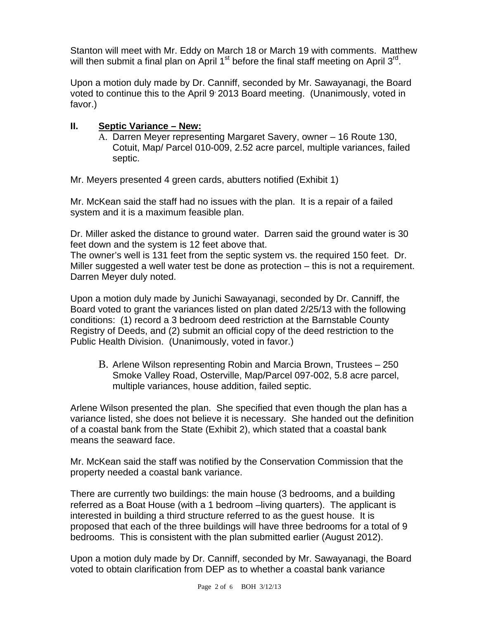Stanton will meet with Mr. Eddy on March 18 or March 19 with comments. Matthew will then submit a final plan on April 1<sup>st</sup> before the final staff meeting on April 3<sup>rd</sup>.

Upon a motion duly made by Dr. Canniff, seconded by Mr. Sawayanagi, the Board voted to continue this to the April 9, 2013 Board meeting. (Unanimously, voted in favor.)

## **II. Septic Variance – New:**

A. Darren Meyer representing Margaret Savery, owner – 16 Route 130, Cotuit, Map/ Parcel 010-009, 2.52 acre parcel, multiple variances, failed septic.

Mr. Meyers presented 4 green cards, abutters notified (Exhibit 1)

Mr. McKean said the staff had no issues with the plan. It is a repair of a failed system and it is a maximum feasible plan.

Dr. Miller asked the distance to ground water. Darren said the ground water is 30 feet down and the system is 12 feet above that.

The owner's well is 131 feet from the septic system vs. the required 150 feet. Dr. Miller suggested a well water test be done as protection – this is not a requirement. Darren Meyer duly noted.

Upon a motion duly made by Junichi Sawayanagi, seconded by Dr. Canniff, the Board voted to grant the variances listed on plan dated 2/25/13 with the following conditions: (1) record a 3 bedroom deed restriction at the Barnstable County Registry of Deeds, and (2) submit an official copy of the deed restriction to the Public Health Division. (Unanimously, voted in favor.)

B. Arlene Wilson representing Robin and Marcia Brown, Trustees – 250 Smoke Valley Road, Osterville, Map/Parcel 097-002, 5.8 acre parcel, multiple variances, house addition, failed septic.

Arlene Wilson presented the plan. She specified that even though the plan has a variance listed, she does not believe it is necessary. She handed out the definition of a coastal bank from the State (Exhibit 2), which stated that a coastal bank means the seaward face.

Mr. McKean said the staff was notified by the Conservation Commission that the property needed a coastal bank variance.

There are currently two buildings: the main house (3 bedrooms, and a building referred as a Boat House (with a 1 bedroom –living quarters). The applicant is interested in building a third structure referred to as the guest house. It is proposed that each of the three buildings will have three bedrooms for a total of 9 bedrooms. This is consistent with the plan submitted earlier (August 2012).

Upon a motion duly made by Dr. Canniff, seconded by Mr. Sawayanagi, the Board voted to obtain clarification from DEP as to whether a coastal bank variance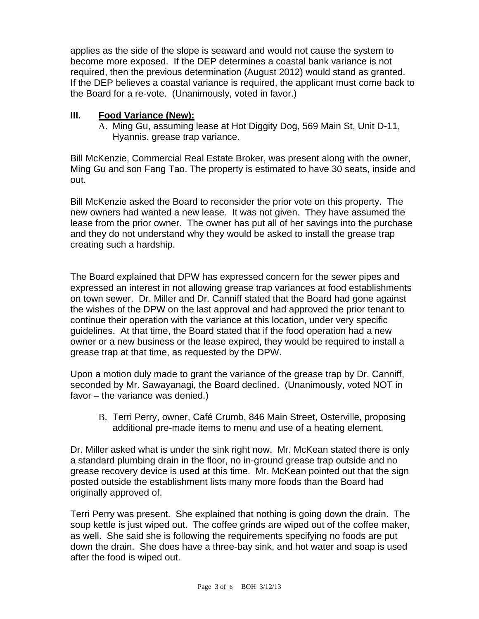applies as the side of the slope is seaward and would not cause the system to become more exposed. If the DEP determines a coastal bank variance is not required, then the previous determination (August 2012) would stand as granted. If the DEP believes a coastal variance is required, the applicant must come back to the Board for a re-vote. (Unanimously, voted in favor.)

## **III. Food Variance (New):**

A. Ming Gu, assuming lease at Hot Diggity Dog, 569 Main St, Unit D-11, Hyannis. grease trap variance.

Bill McKenzie, Commercial Real Estate Broker, was present along with the owner, Ming Gu and son Fang Tao. The property is estimated to have 30 seats, inside and out.

Bill McKenzie asked the Board to reconsider the prior vote on this property. The new owners had wanted a new lease. It was not given. They have assumed the lease from the prior owner. The owner has put all of her savings into the purchase and they do not understand why they would be asked to install the grease trap creating such a hardship.

The Board explained that DPW has expressed concern for the sewer pipes and expressed an interest in not allowing grease trap variances at food establishments on town sewer. Dr. Miller and Dr. Canniff stated that the Board had gone against the wishes of the DPW on the last approval and had approved the prior tenant to continue their operation with the variance at this location, under very specific guidelines. At that time, the Board stated that if the food operation had a new owner or a new business or the lease expired, they would be required to install a grease trap at that time, as requested by the DPW.

Upon a motion duly made to grant the variance of the grease trap by Dr. Canniff, seconded by Mr. Sawayanagi, the Board declined. (Unanimously, voted NOT in favor – the variance was denied.)

B. Terri Perry, owner, Café Crumb, 846 Main Street, Osterville, proposing additional pre-made items to menu and use of a heating element.

Dr. Miller asked what is under the sink right now. Mr. McKean stated there is only a standard plumbing drain in the floor, no in-ground grease trap outside and no grease recovery device is used at this time. Mr. McKean pointed out that the sign posted outside the establishment lists many more foods than the Board had originally approved of.

Terri Perry was present. She explained that nothing is going down the drain. The soup kettle is just wiped out. The coffee grinds are wiped out of the coffee maker, as well. She said she is following the requirements specifying no foods are put down the drain. She does have a three-bay sink, and hot water and soap is used after the food is wiped out.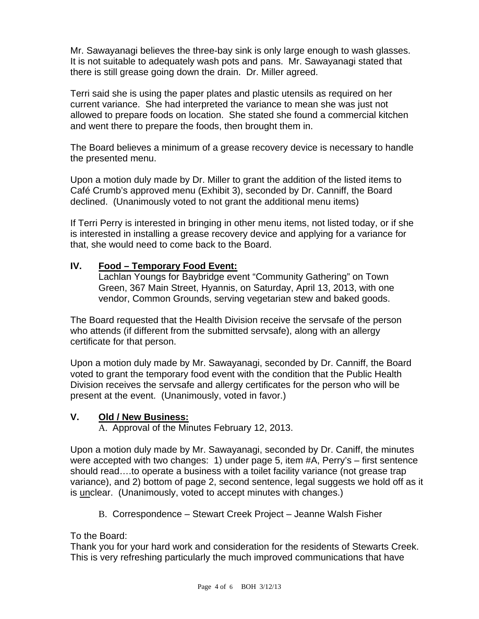Mr. Sawayanagi believes the three-bay sink is only large enough to wash glasses. It is not suitable to adequately wash pots and pans. Mr. Sawayanagi stated that there is still grease going down the drain. Dr. Miller agreed.

Terri said she is using the paper plates and plastic utensils as required on her current variance. She had interpreted the variance to mean she was just not allowed to prepare foods on location. She stated she found a commercial kitchen and went there to prepare the foods, then brought them in.

The Board believes a minimum of a grease recovery device is necessary to handle the presented menu.

Upon a motion duly made by Dr. Miller to grant the addition of the listed items to Café Crumb's approved menu (Exhibit 3), seconded by Dr. Canniff, the Board declined. (Unanimously voted to not grant the additional menu items)

If Terri Perry is interested in bringing in other menu items, not listed today, or if she is interested in installing a grease recovery device and applying for a variance for that, she would need to come back to the Board.

# **IV. Food – Temporary Food Event:**

Lachlan Youngs for Baybridge event "Community Gathering" on Town Green, 367 Main Street, Hyannis, on Saturday, April 13, 2013, with one vendor, Common Grounds, serving vegetarian stew and baked goods.

The Board requested that the Health Division receive the servsafe of the person who attends (if different from the submitted servsafe), along with an allergy certificate for that person.

Upon a motion duly made by Mr. Sawayanagi, seconded by Dr. Canniff, the Board voted to grant the temporary food event with the condition that the Public Health Division receives the servsafe and allergy certificates for the person who will be present at the event. (Unanimously, voted in favor.)

### **V. Old / New Business:**

A. Approval of the Minutes February 12, 2013.

Upon a motion duly made by Mr. Sawayanagi, seconded by Dr. Caniff, the minutes were accepted with two changes: 1) under page 5, item #A, Perry's – first sentence should read….to operate a business with a toilet facility variance (not grease trap variance), and 2) bottom of page 2, second sentence, legal suggests we hold off as it is unclear. (Unanimously, voted to accept minutes with changes.)

B. Correspondence – Stewart Creek Project – Jeanne Walsh Fisher

To the Board:

Thank you for your hard work and consideration for the residents of Stewarts Creek. This is very refreshing particularly the much improved communications that have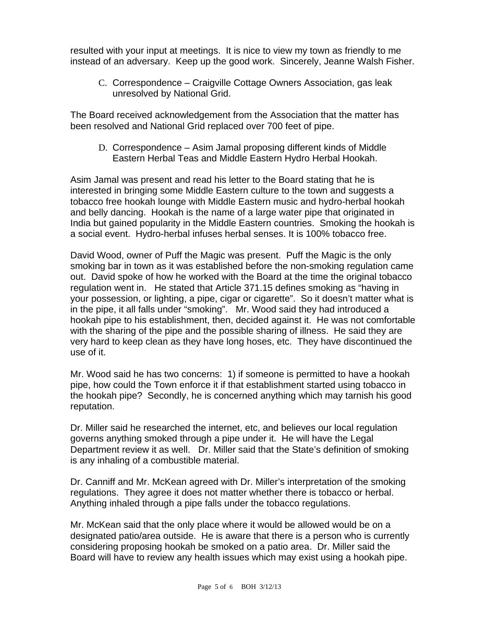resulted with your input at meetings. It is nice to view my town as friendly to me instead of an adversary. Keep up the good work. Sincerely, Jeanne Walsh Fisher.

C. Correspondence – Craigville Cottage Owners Association, gas leak unresolved by National Grid.

The Board received acknowledgement from the Association that the matter has been resolved and National Grid replaced over 700 feet of pipe.

D. Correspondence – Asim Jamal proposing different kinds of Middle Eastern Herbal Teas and Middle Eastern Hydro Herbal Hookah.

Asim Jamal was present and read his letter to the Board stating that he is interested in bringing some Middle Eastern culture to the town and suggests a tobacco free hookah lounge with Middle Eastern music and hydro-herbal hookah and belly dancing. Hookah is the name of a large water pipe that originated in India but gained popularity in the Middle Eastern countries. Smoking the hookah is a social event. Hydro-herbal infuses herbal senses. It is 100% tobacco free.

David Wood, owner of Puff the Magic was present. Puff the Magic is the only smoking bar in town as it was established before the non-smoking regulation came out. David spoke of how he worked with the Board at the time the original tobacco regulation went in. He stated that Article 371.15 defines smoking as "having in your possession, or lighting, a pipe, cigar or cigarette". So it doesn't matter what is in the pipe, it all falls under "smoking". Mr. Wood said they had introduced a hookah pipe to his establishment, then, decided against it. He was not comfortable with the sharing of the pipe and the possible sharing of illness. He said they are very hard to keep clean as they have long hoses, etc. They have discontinued the use of it.

Mr. Wood said he has two concerns: 1) if someone is permitted to have a hookah pipe, how could the Town enforce it if that establishment started using tobacco in the hookah pipe? Secondly, he is concerned anything which may tarnish his good reputation.

Dr. Miller said he researched the internet, etc, and believes our local regulation governs anything smoked through a pipe under it. He will have the Legal Department review it as well. Dr. Miller said that the State's definition of smoking is any inhaling of a combustible material.

Dr. Canniff and Mr. McKean agreed with Dr. Miller's interpretation of the smoking regulations. They agree it does not matter whether there is tobacco or herbal. Anything inhaled through a pipe falls under the tobacco regulations.

Mr. McKean said that the only place where it would be allowed would be on a designated patio/area outside. He is aware that there is a person who is currently considering proposing hookah be smoked on a patio area. Dr. Miller said the Board will have to review any health issues which may exist using a hookah pipe.